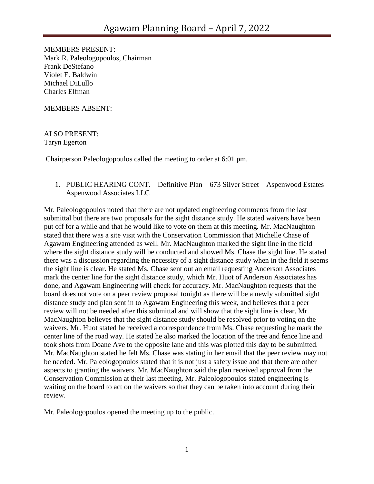MEMBERS PRESENT: Mark R. Paleologopoulos, Chairman Frank DeStefano Violet E. Baldwin Michael DiLullo Charles Elfman

MEMBERS ABSENT:

ALSO PRESENT: Taryn Egerton

Chairperson Paleologopoulos called the meeting to order at 6:01 pm.

1. PUBLIC HEARING CONT. – Definitive Plan – 673 Silver Street – Aspenwood Estates – Aspenwood Associates LLC

Mr. Paleologopoulos noted that there are not updated engineering comments from the last submittal but there are two proposals for the sight distance study. He stated waivers have been put off for a while and that he would like to vote on them at this meeting. Mr. MacNaughton stated that there was a site visit with the Conservation Commission that Michelle Chase of Agawam Engineering attended as well. Mr. MacNaughton marked the sight line in the field where the sight distance study will be conducted and showed Ms. Chase the sight line. He stated there was a discussion regarding the necessity of a sight distance study when in the field it seems the sight line is clear. He stated Ms. Chase sent out an email requesting Anderson Associates mark the center line for the sight distance study, which Mr. Huot of Anderson Associates has done, and Agawam Engineering will check for accuracy. Mr. MacNaughton requests that the board does not vote on a peer review proposal tonight as there will be a newly submitted sight distance study and plan sent in to Agawam Engineering this week, and believes that a peer review will not be needed after this submittal and will show that the sight line is clear. Mr. MacNaughton believes that the sight distance study should be resolved prior to voting on the waivers. Mr. Huot stated he received a correspondence from Ms. Chase requesting he mark the center line of the road way. He stated he also marked the location of the tree and fence line and took shots from Doane Ave to the opposite lane and this was plotted this day to be submitted. Mr. MacNaughton stated he felt Ms. Chase was stating in her email that the peer review may not be needed. Mr. Paleologopoulos stated that it is not just a safety issue and that there are other aspects to granting the waivers. Mr. MacNaughton said the plan received approval from the Conservation Commission at their last meeting. Mr. Paleologopoulos stated engineering is waiting on the board to act on the waivers so that they can be taken into account during their review.

Mr. Paleologopoulos opened the meeting up to the public.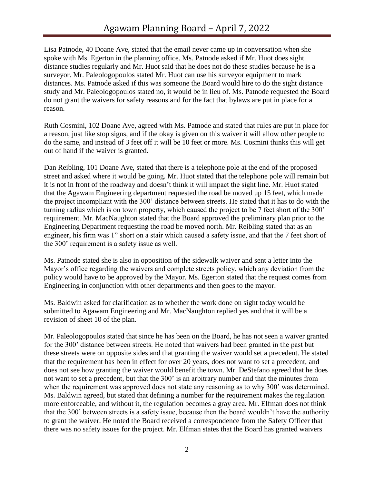Lisa Patnode, 40 Doane Ave, stated that the email never came up in conversation when she spoke with Ms. Egerton in the planning office. Ms. Patnode asked if Mr. Huot does sight distance studies regularly and Mr. Huot said that he does not do these studies because he is a surveyor. Mr. Paleologopoulos stated Mr. Huot can use his surveyor equipment to mark distances. Ms. Patnode asked if this was someone the Board would hire to do the sight distance study and Mr. Paleologopoulos stated no, it would be in lieu of. Ms. Patnode requested the Board do not grant the waivers for safety reasons and for the fact that bylaws are put in place for a reason.

Ruth Cosmini, 102 Doane Ave, agreed with Ms. Patnode and stated that rules are put in place for a reason, just like stop signs, and if the okay is given on this waiver it will allow other people to do the same, and instead of 3 feet off it will be 10 feet or more. Ms. Cosmini thinks this will get out of hand if the waiver is granted.

Dan Reibling, 101 Doane Ave, stated that there is a telephone pole at the end of the proposed street and asked where it would be going. Mr. Huot stated that the telephone pole will remain but it is not in front of the roadway and doesn't think it will impact the sight line. Mr. Huot stated that the Agawam Engineering department requested the road be moved up 15 feet, which made the project incompliant with the 300' distance between streets. He stated that it has to do with the turning radius which is on town property, which caused the project to be 7 feet short of the 300' requirement. Mr. MacNaughton stated that the Board approved the preliminary plan prior to the Engineering Department requesting the road be moved north. Mr. Reibling stated that as an engineer, his firm was 1" short on a stair which caused a safety issue, and that the 7 feet short of the 300' requirement is a safety issue as well.

Ms. Patnode stated she is also in opposition of the sidewalk waiver and sent a letter into the Mayor's office regarding the waivers and complete streets policy, which any deviation from the policy would have to be approved by the Mayor. Ms. Egerton stated that the request comes from Engineering in conjunction with other departments and then goes to the mayor.

Ms. Baldwin asked for clarification as to whether the work done on sight today would be submitted to Agawam Engineering and Mr. MacNaughton replied yes and that it will be a revision of sheet 10 of the plan.

Mr. Paleologopoulos stated that since he has been on the Board, he has not seen a waiver granted for the 300' distance between streets. He noted that waivers had been granted in the past but these streets were on opposite sides and that granting the waiver would set a precedent. He stated that the requirement has been in effect for over 20 years, does not want to set a precedent, and does not see how granting the waiver would benefit the town. Mr. DeStefano agreed that he does not want to set a precedent, but that the 300' is an arbitrary number and that the minutes from when the requirement was approved does not state any reasoning as to why 300' was determined. Ms. Baldwin agreed, but stated that defining a number for the requirement makes the regulation more enforceable, and without it, the regulation becomes a gray area. Mr. Elfman does not think that the 300' between streets is a safety issue, because then the board wouldn't have the authority to grant the waiver. He noted the Board received a correspondence from the Safety Officer that there was no safety issues for the project. Mr. Elfman states that the Board has granted waivers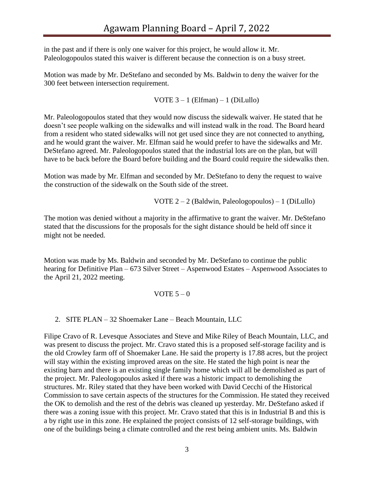in the past and if there is only one waiver for this project, he would allow it. Mr. Paleologopoulos stated this waiver is different because the connection is on a busy street.

Motion was made by Mr. DeStefano and seconded by Ms. Baldwin to deny the waiver for the 300 feet between intersection requirement.

VOTE  $3 - 1$  (Elfman)  $- 1$  (DiLullo)

Mr. Paleologopoulos stated that they would now discuss the sidewalk waiver. He stated that he doesn't see people walking on the sidewalks and will instead walk in the road. The Board heard from a resident who stated sidewalks will not get used since they are not connected to anything, and he would grant the waiver. Mr. Elfman said he would prefer to have the sidewalks and Mr. DeStefano agreed. Mr. Paleologopoulos stated that the industrial lots are on the plan, but will have to be back before the Board before building and the Board could require the sidewalks then.

Motion was made by Mr. Elfman and seconded by Mr. DeStefano to deny the request to waive the construction of the sidewalk on the South side of the street.

VOTE 2 – 2 (Baldwin, Paleologopoulos) – 1 (DiLullo)

The motion was denied without a majority in the affirmative to grant the waiver. Mr. DeStefano stated that the discussions for the proposals for the sight distance should be held off since it might not be needed.

Motion was made by Ms. Baldwin and seconded by Mr. DeStefano to continue the public hearing for Definitive Plan – 673 Silver Street – Aspenwood Estates – Aspenwood Associates to the April 21, 2022 meeting.

## VOTE  $5-0$

2. SITE PLAN – 32 Shoemaker Lane – Beach Mountain, LLC

Filipe Cravo of R. Levesque Associates and Steve and Mike Riley of Beach Mountain, LLC, and was present to discuss the project. Mr. Cravo stated this is a proposed self-storage facility and is the old Crowley farm off of Shoemaker Lane. He said the property is 17.88 acres, but the project will stay within the existing improved areas on the site. He stated the high point is near the existing barn and there is an existing single family home which will all be demolished as part of the project. Mr. Paleologopoulos asked if there was a historic impact to demolishing the structures. Mr. Riley stated that they have been worked with David Cecchi of the Historical Commission to save certain aspects of the structures for the Commission. He stated they received the OK to demolish and the rest of the debris was cleaned up yesterday. Mr. DeStefano asked if there was a zoning issue with this project. Mr. Cravo stated that this is in Industrial B and this is a by right use in this zone. He explained the project consists of 12 self-storage buildings, with one of the buildings being a climate controlled and the rest being ambient units. Ms. Baldwin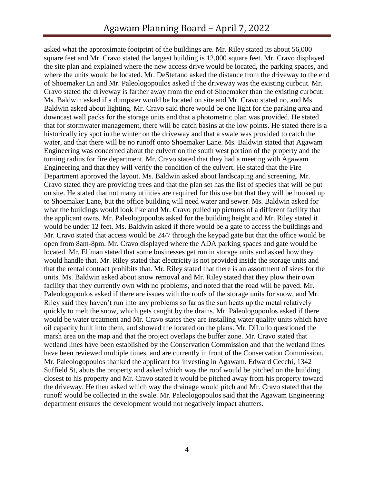asked what the approximate footprint of the buildings are. Mr. Riley stated its about 56,000 square feet and Mr. Cravo stated the largest building is 12,000 square feet. Mr. Cravo displayed the site plan and explained where the new access drive would be located, the parking spaces, and where the units would be located. Mr. DeStefano asked the distance from the driveway to the end of Shoemaker Ln and Mr. Paleologopoulos asked if the driveway was the existing curbcut. Mr. Cravo stated the driveway is farther away from the end of Shoemaker than the existing curbcut. Ms. Baldwin asked if a dumpster would be located on site and Mr. Cravo stated no, and Ms. Baldwin asked about lighting. Mr. Cravo said there would be one light for the parking area and downcast wall packs for the storage units and that a photometric plan was provided. He stated that for stormwater management, there will be catch basins at the low points. He stated there is a historically icy spot in the winter on the driveway and that a swale was provided to catch the water, and that there will be no runoff onto Shoemaker Lane. Ms. Baldwin stated that Agawam Engineering was concerned about the culvert on the south west portion of the property and the turning radius for fire department. Mr. Cravo stated that they had a meeting with Agawam Engineering and that they will verify the condition of the culvert. He stated that the Fire Department approved the layout. Ms. Baldwin asked about landscaping and screening. Mr. Cravo stated they are providing trees and that the plan set has the list of species that will be put on site. He stated that not many utilities are required for this use but that they will be hooked up to Shoemaker Lane, but the office building will need water and sewer. Ms. Baldwin asked for what the buildings would look like and Mr. Cravo pulled up pictures of a different facility that the applicant owns. Mr. Paleologopoulos asked for the building height and Mr. Riley stated it would be under 12 feet. Ms. Baldwin asked if there would be a gate to access the buildings and Mr. Cravo stated that access would be 24/7 through the keypad gate but that the office would be open from 8am-8pm. Mr. Cravo displayed where the ADA parking spaces and gate would be located. Mr. Elfman stated that some businesses get run in storage units and asked how they would handle that. Mr. Riley stated that electricity is not provided inside the storage units and that the rental contract prohibits that. Mr. Riley stated that there is an assortment of sizes for the units. Ms. Baldwin asked about snow removal and Mr. Riley stated that they plow their own facility that they currently own with no problems, and noted that the road will be paved. Mr. Paleologopoulos asked if there are issues with the roofs of the storage units for snow, and Mr. Riley said they haven't run into any problems so far as the sun heats up the metal relatively quickly to melt the snow, which gets caught by the drains. Mr. Paleologopoulos asked if there would be water treatment and Mr. Cravo states they are installing water quality units which have oil capacity built into them, and showed the located on the plans. Mr. DiLullo questioned the marsh area on the map and that the project overlaps the buffer zone. Mr. Cravo stated that wetland lines have been established by the Conservation Commission and that the wetland lines have been reviewed multiple times, and are currently in front of the Conservation Commission. Mr. Paleologopoulos thanked the applicant for investing in Agawam. Edward Cecchi, 1342 Suffield St, abuts the property and asked which way the roof would be pitched on the building closest to his property and Mr. Cravo stated it would be pitched away from his property toward the driveway. He then asked which way the drainage would pitch and Mr. Cravo stated that the runoff would be collected in the swale. Mr. Paleologopoulos said that the Agawam Engineering department ensures the development would not negatively impact abutters.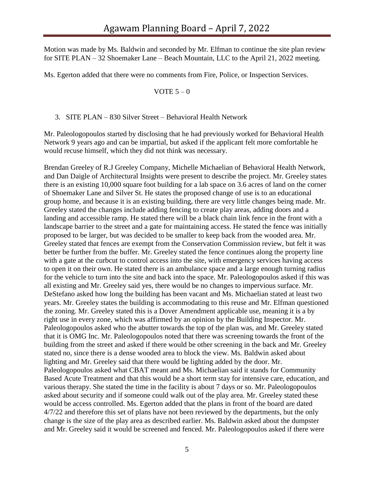Motion was made by Ms. Baldwin and seconded by Mr. Elfman to continue the site plan review for SITE PLAN – 32 Shoemaker Lane – Beach Mountain, LLC to the April 21, 2022 meeting.

Ms. Egerton added that there were no comments from Fire, Police, or Inspection Services.

VOTE  $5 - 0$ 

3. SITE PLAN – 830 Silver Street – Behavioral Health Network

Mr. Paleologopoulos started by disclosing that he had previously worked for Behavioral Health Network 9 years ago and can be impartial, but asked if the applicant felt more comfortable he would recuse himself, which they did not think was necessary.

Brendan Greeley of R.J Greeley Company, Michelle Michaelian of Behavioral Health Network, and Dan Daigle of Architectural Insights were present to describe the project. Mr. Greeley states there is an existing 10,000 square foot building for a lab space on 3.6 acres of land on the corner of Shoemaker Lane and Silver St. He states the proposed change of use is to an educational group home, and because it is an existing building, there are very little changes being made. Mr. Greeley stated the changes include adding fencing to create play areas, adding doors and a landing and accessible ramp. He stated there will be a black chain link fence in the front with a landscape barrier to the street and a gate for maintaining access. He stated the fence was initially proposed to be larger, but was decided to be smaller to keep back from the wooded area. Mr. Greeley stated that fences are exempt from the Conservation Commission review, but felt it was better be further from the buffer. Mr. Greeley stated the fence continues along the property line with a gate at the curbcut to control access into the site, with emergency services having access to open it on their own. He stated there is an ambulance space and a large enough turning radius for the vehicle to turn into the site and back into the space. Mr. Paleologopoulos asked if this was all existing and Mr. Greeley said yes, there would be no changes to impervious surface. Mr. DeStefano asked how long the building has been vacant and Ms. Michaelian stated at least two years. Mr. Greeley states the building is accommodating to this reuse and Mr. Elfman questioned the zoning. Mr. Greeley stated this is a Dover Amendment applicable use, meaning it is a by right use in every zone, which was affirmed by an opinion by the Building Inspector. Mr. Paleologopoulos asked who the abutter towards the top of the plan was, and Mr. Greeley stated that it is OMG Inc. Mr. Paleologopoulos noted that there was screening towards the front of the building from the street and asked if there would be other screening in the back and Mr. Greeley stated no, since there is a dense wooded area to block the view. Ms. Baldwin asked about lighting and Mr. Greeley said that there would be lighting added by the door. Mr. Paleologopoulos asked what CBAT meant and Ms. Michaelian said it stands for Community Based Acute Treatment and that this would be a short term stay for intensive care, education, and various therapy. She stated the time in the facility is about 7 days or so. Mr. Paleologopoulos asked about security and if someone could walk out of the play area. Mr. Greeley stated these would be access controlled. Ms. Egerton added that the plans in front of the board are dated 4/7/22 and therefore this set of plans have not been reviewed by the departments, but the only change is the size of the play area as described earlier. Ms. Baldwin asked about the dumpster and Mr. Greeley said it would be screened and fenced. Mr. Paleologopoulos asked if there were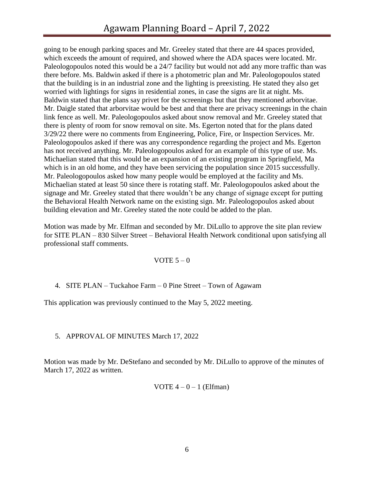going to be enough parking spaces and Mr. Greeley stated that there are 44 spaces provided, which exceeds the amount of required, and showed where the ADA spaces were located. Mr. Paleologopoulos noted this would be a 24/7 facility but would not add any more traffic than was there before. Ms. Baldwin asked if there is a photometric plan and Mr. Paleologopoulos stated that the building is in an industrial zone and the lighting is preexisting. He stated they also get worried with lightings for signs in residential zones, in case the signs are lit at night. Ms. Baldwin stated that the plans say privet for the screenings but that they mentioned arborvitae. Mr. Daigle stated that arborvitae would be best and that there are privacy screenings in the chain link fence as well. Mr. Paleologopoulos asked about snow removal and Mr. Greeley stated that there is plenty of room for snow removal on site. Ms. Egerton noted that for the plans dated 3/29/22 there were no comments from Engineering, Police, Fire, or Inspection Services. Mr. Paleologopoulos asked if there was any correspondence regarding the project and Ms. Egerton has not received anything. Mr. Paleologopoulos asked for an example of this type of use. Ms. Michaelian stated that this would be an expansion of an existing program in Springfield, Ma which is in an old home, and they have been servicing the population since 2015 successfully. Mr. Paleologopoulos asked how many people would be employed at the facility and Ms. Michaelian stated at least 50 since there is rotating staff. Mr. Paleologopoulos asked about the signage and Mr. Greeley stated that there wouldn't be any change of signage except for putting the Behavioral Health Network name on the existing sign. Mr. Paleologopoulos asked about building elevation and Mr. Greeley stated the note could be added to the plan.

Motion was made by Mr. Elfman and seconded by Mr. DiLullo to approve the site plan review for SITE PLAN – 830 Silver Street – Behavioral Health Network conditional upon satisfying all professional staff comments.

## VOTE  $5 - 0$

4. SITE PLAN – Tuckahoe Farm – 0 Pine Street – Town of Agawam

This application was previously continued to the May 5, 2022 meeting.

## 5. APPROVAL OF MINUTES March 17, 2022

Motion was made by Mr. DeStefano and seconded by Mr. DiLullo to approve of the minutes of March 17, 2022 as written.

VOTE  $4 - 0 - 1$  (Elfman)